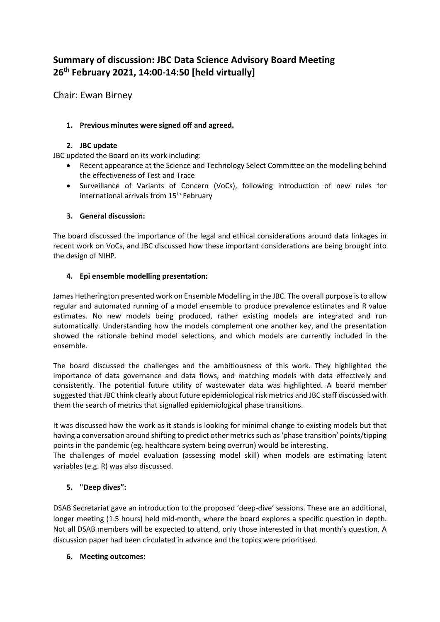# **Summary of discussion: JBC Data Science Advisory Board Meeting 26th February 2021, 14:00-14:50 [held virtually]**

Chair: Ewan Birney

# **1. Previous minutes were signed off and agreed.**

## **2. JBC update**

JBC updated the Board on its work including:

- Recent appearance at the Science and Technology Select Committee on the modelling behind the effectiveness of Test and Trace
- Surveillance of Variants of Concern (VoCs), following introduction of new rules for international arrivals from 15<sup>th</sup> February

### **3. General discussion:**

The board discussed the importance of the legal and ethical considerations around data linkages in recent work on VoCs, and JBC discussed how these important considerations are being brought into the design of NIHP.

### **4. Epi ensemble modelling presentation:**

James Hetherington presented work on Ensemble Modelling in the JBC. The overall purpose is to allow regular and automated running of a model ensemble to produce prevalence estimates and R value estimates. No new models being produced, rather existing models are integrated and run automatically. Understanding how the models complement one another key, and the presentation showed the rationale behind model selections, and which models are currently included in the ensemble.

The board discussed the challenges and the ambitiousness of this work. They highlighted the importance of data governance and data flows, and matching models with data effectively and consistently. The potential future utility of wastewater data was highlighted. A board member suggested that JBC think clearly about future epidemiological risk metrics and JBC staff discussed with them the search of metrics that signalled epidemiological phase transitions.

It was discussed how the work as it stands is looking for minimal change to existing models but that having a conversation around shifting to predict other metrics such as 'phase transition' points/tipping points in the pandemic (eg. healthcare system being overrun) would be interesting.

The challenges of model evaluation (assessing model skill) when models are estimating latent variables (e.g. R) was also discussed.

# **5. "Deep dives":**

DSAB Secretariat gave an introduction to the proposed 'deep-dive' sessions. These are an additional, longer meeting (1.5 hours) held mid-month, where the board explores a specific question in depth. Not all DSAB members will be expected to attend, only those interested in that month's question. A discussion paper had been circulated in advance and the topics were prioritised.

#### **6. Meeting outcomes:**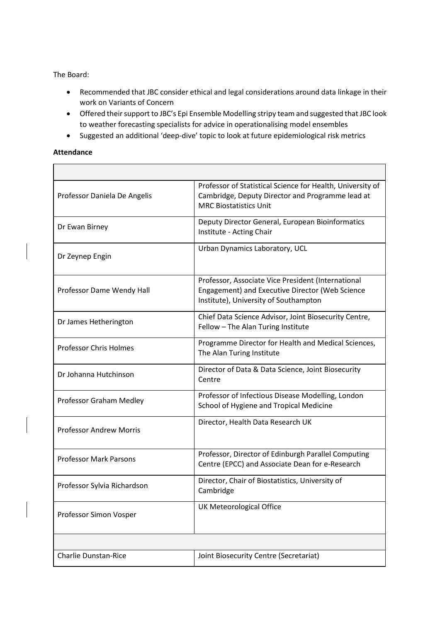The Board:

- Recommended that JBC consider ethical and legal considerations around data linkage in their work on Variants of Concern
- Offered their support to JBC's Epi Ensemble Modelling stripy team and suggested that JBC look to weather forecasting specialists for advice in operationalising model ensembles
- Suggested an additional 'deep-dive' topic to look at future epidemiological risk metrics

#### **Attendance**

| Professor Daniela De Angelis   | Professor of Statistical Science for Health, University of<br>Cambridge, Deputy Director and Programme lead at<br><b>MRC Biostatistics Unit</b> |
|--------------------------------|-------------------------------------------------------------------------------------------------------------------------------------------------|
| Dr Ewan Birney                 | Deputy Director General, European Bioinformatics<br>Institute - Acting Chair                                                                    |
| Dr Zeynep Engin                | Urban Dynamics Laboratory, UCL                                                                                                                  |
| Professor Dame Wendy Hall      | Professor, Associate Vice President (International<br>Engagement) and Executive Director (Web Science<br>Institute), University of Southampton  |
| Dr James Hetherington          | Chief Data Science Advisor, Joint Biosecurity Centre,<br>Fellow - The Alan Turing Institute                                                     |
| <b>Professor Chris Holmes</b>  | Programme Director for Health and Medical Sciences,<br>The Alan Turing Institute                                                                |
| Dr Johanna Hutchinson          | Director of Data & Data Science, Joint Biosecurity<br>Centre                                                                                    |
| Professor Graham Medley        | Professor of Infectious Disease Modelling, London<br>School of Hygiene and Tropical Medicine                                                    |
| <b>Professor Andrew Morris</b> | Director, Health Data Research UK                                                                                                               |
| <b>Professor Mark Parsons</b>  | Professor, Director of Edinburgh Parallel Computing<br>Centre (EPCC) and Associate Dean for e-Research                                          |
| Professor Sylvia Richardson    | Director, Chair of Biostatistics, University of<br>Cambridge                                                                                    |
| Professor Simon Vosper         | <b>UK Meteorological Office</b>                                                                                                                 |
|                                |                                                                                                                                                 |
| <b>Charlie Dunstan-Rice</b>    | Joint Biosecurity Centre (Secretariat)                                                                                                          |